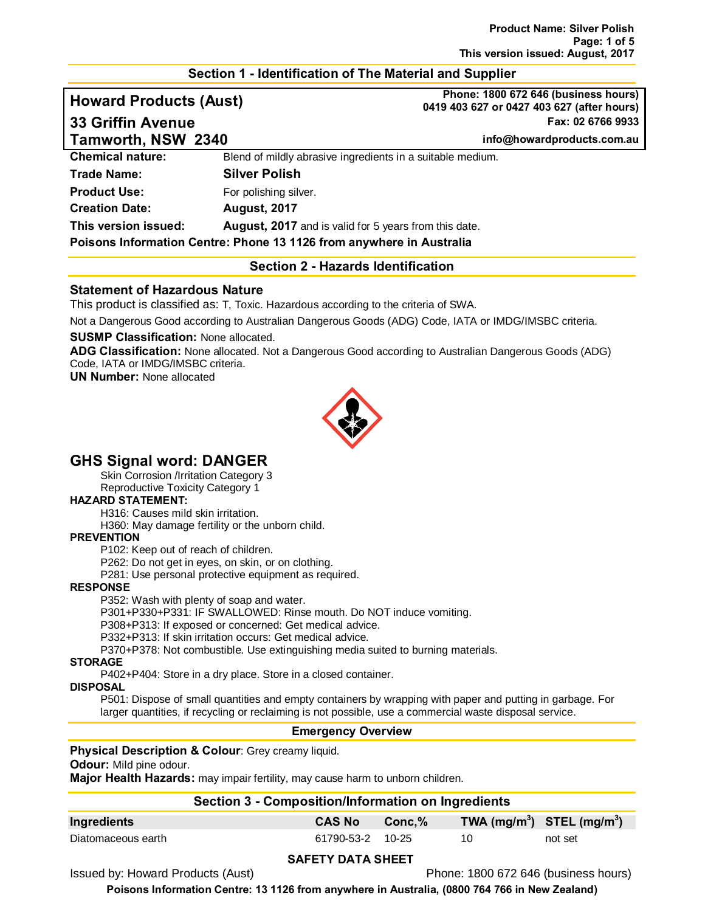# **Section 1 - Identification of The Material and Supplier**

**Howard Products (Aust) Phone: 1800 672 646 (business hours) 0419 403 627 or 0427 403 627 (after hours) 33 Griffin Avenue Fax: 02 6766 9933**

**Tamworth, NSW 2340 info@howardproducts.com.au**

**Chemical nature:** Blend of mildly abrasive ingredients in a suitable medium.

# **Trade Name: Silver Polish Product Use:** For polishing silver. **Creation Date: August, 2017 This version issued: August, 2017** and is valid for 5 years from this date. **Poisons Information Centre: Phone 13 1126 from anywhere in Australia**

# **Section 2 - Hazards Identification**

# **Statement of Hazardous Nature**

This product is classified as: T, Toxic. Hazardous according to the criteria of SWA.

Not a Dangerous Good according to Australian Dangerous Goods (ADG) Code, IATA or IMDG/IMSBC criteria.

# **SUSMP Classification:** None allocated.

**ADG Classification:** None allocated. Not a Dangerous Good according to Australian Dangerous Goods (ADG) Code, IATA or IMDG/IMSBC criteria.

**UN Number:** None allocated



# **GHS Signal word: DANGER**

Skin Corrosion /Irritation Category 3

Reproductive Toxicity Category 1

### **HAZARD STATEMENT:**

H316: Causes mild skin irritation.

H360: May damage fertility or the unborn child.

#### **PREVENTION**

P102: Keep out of reach of children.

P262: Do not get in eyes, on skin, or on clothing.

P281: Use personal protective equipment as required.

#### **RESPONSE**

P352: Wash with plenty of soap and water.

P301+P330+P331: IF SWALLOWED: Rinse mouth. Do NOT induce vomiting.

P308+P313: If exposed or concerned: Get medical advice.

P332+P313: If skin irritation occurs: Get medical advice.

P370+P378: Not combustible. Use extinguishing media suited to burning materials.

#### **STORAGE**

P402+P404: Store in a dry place. Store in a closed container.

#### **DISPOSAL**

P501: Dispose of small quantities and empty containers by wrapping with paper and putting in garbage. For larger quantities, if recycling or reclaiming is not possible, use a commercial waste disposal service.

#### **Emergency Overview**

#### **Physical Description & Colour**: Grey creamy liquid.

**Odour:** Mild pine odour.

**Major Health Hazards:** may impair fertility, may cause harm to unborn children.

|                    | Section 3 - Composition/Information on Ingredients |                  |        |                                |         |
|--------------------|----------------------------------------------------|------------------|--------|--------------------------------|---------|
| Ingredients        |                                                    | <b>CAS No</b>    | Conc.% | TWA $(mg/m^3)$ STEL $(mg/m^3)$ |         |
| Diatomaceous earth |                                                    | 61790-53-2 10-25 |        | 10                             | not set |
|                    |                                                    |                  |        |                                |         |

#### **SAFETY DATA SHEET**

Issued by: Howard Products (Aust) Phone: 1800 672 646 (business hours)

**Poisons Information Centre: 13 1126 from anywhere in Australia, (0800 764 766 in New Zealand)**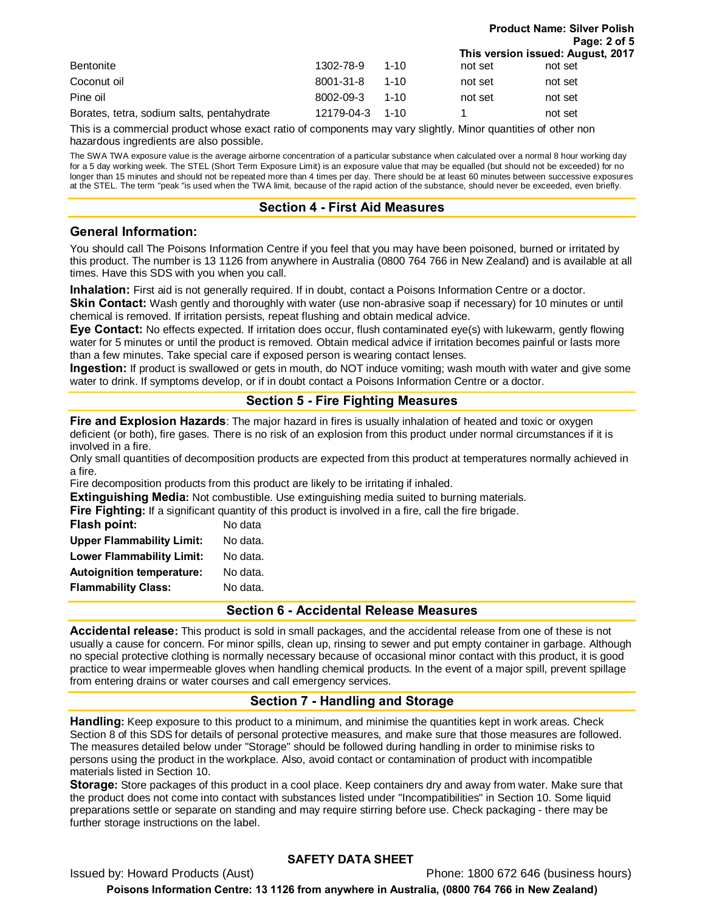|                                            |            |          |         | Page: 2 of 5                      |  |
|--------------------------------------------|------------|----------|---------|-----------------------------------|--|
|                                            |            |          |         | This version issued: August, 2017 |  |
| <b>Bentonite</b>                           | 1302-78-9  | $1 - 10$ | not set | not set                           |  |
| Coconut oil                                | 8001-31-8  | $1 - 10$ | not set | not set                           |  |
| Pine oil                                   | 8002-09-3  | $1 - 10$ | not set | not set                           |  |
| Borates, tetra, sodium salts, pentahydrate | 12179-04-3 | $1 - 10$ |         | not set                           |  |

**Product Name: Silver Polish**

This is a commercial product whose exact ratio of components may vary slightly. Minor quantities of other non hazardous ingredients are also possible.

The SWA TWA exposure value is the average airborne concentration of a particular substance when calculated over a normal 8 hour working day for a 5 day working week. The STEL (Short Term Exposure Limit) is an exposure value that may be equalled (but should not be exceeded) for no longer than 15 minutes and should not be repeated more than 4 times per day. There should be at least 60 minutes between successive exposures at the STEL. The term "peak "is used when the TWA limit, because of the rapid action of the substance, should never be exceeded, even briefly.

# **Section 4 - First Aid Measures**

# **General Information:**

You should call The Poisons Information Centre if you feel that you may have been poisoned, burned or irritated by this product. The number is 13 1126 from anywhere in Australia (0800 764 766 in New Zealand) and is available at all times. Have this SDS with you when you call.

**Inhalation:** First aid is not generally required. If in doubt, contact a Poisons Information Centre or a doctor.

**Skin Contact:** Wash gently and thoroughly with water (use non-abrasive soap if necessary) for 10 minutes or until chemical is removed. If irritation persists, repeat flushing and obtain medical advice.

**Eye Contact:** No effects expected. If irritation does occur, flush contaminated eye(s) with lukewarm, gently flowing water for 5 minutes or until the product is removed. Obtain medical advice if irritation becomes painful or lasts more than a few minutes. Take special care if exposed person is wearing contact lenses.

**Ingestion:** If product is swallowed or gets in mouth, do NOT induce vomiting; wash mouth with water and give some water to drink. If symptoms develop, or if in doubt contact a Poisons Information Centre or a doctor.

# **Section 5 - Fire Fighting Measures**

**Fire and Explosion Hazards**: The major hazard in fires is usually inhalation of heated and toxic or oxygen deficient (or both), fire gases. There is no risk of an explosion from this product under normal circumstances if it is involved in a fire.

Only small quantities of decomposition products are expected from this product at temperatures normally achieved in a fire.

Fire decomposition products from this product are likely to be irritating if inhaled.

**Extinguishing Media:** Not combustible. Use extinguishing media suited to burning materials.

**Fire Fighting:** If a significant quantity of this product is involved in a fire, call the fire brigade.

| Flash point:                     | No data  |
|----------------------------------|----------|
| <b>Upper Flammability Limit:</b> | No data. |
| <b>Lower Flammability Limit:</b> | No data. |
| <b>Autoignition temperature:</b> | No data. |
| <b>Flammability Class:</b>       | No data. |
|                                  |          |

**Section 6 - Accidental Release Measures**

**Accidental release:** This product is sold in small packages, and the accidental release from one of these is not usually a cause for concern. For minor spills, clean up, rinsing to sewer and put empty container in garbage. Although no special protective clothing is normally necessary because of occasional minor contact with this product, it is good practice to wear impermeable gloves when handling chemical products. In the event of a major spill, prevent spillage from entering drains or water courses and call emergency services.

# **Section 7 - Handling and Storage**

**Handling:** Keep exposure to this product to a minimum, and minimise the quantities kept in work areas. Check Section 8 of this SDS for details of personal protective measures, and make sure that those measures are followed. The measures detailed below under "Storage" should be followed during handling in order to minimise risks to persons using the product in the workplace. Also, avoid contact or contamination of product with incompatible materials listed in Section 10.

**Storage:** Store packages of this product in a cool place. Keep containers dry and away from water. Make sure that the product does not come into contact with substances listed under "Incompatibilities" in Section 10. Some liquid preparations settle or separate on standing and may require stirring before use. Check packaging - there may be further storage instructions on the label.

# **SAFETY DATA SHEET**

Issued by: Howard Products (Aust) Phone: 1800 672 646 (business hours) **Poisons Information Centre: 13 1126 from anywhere in Australia, (0800 764 766 in New Zealand)**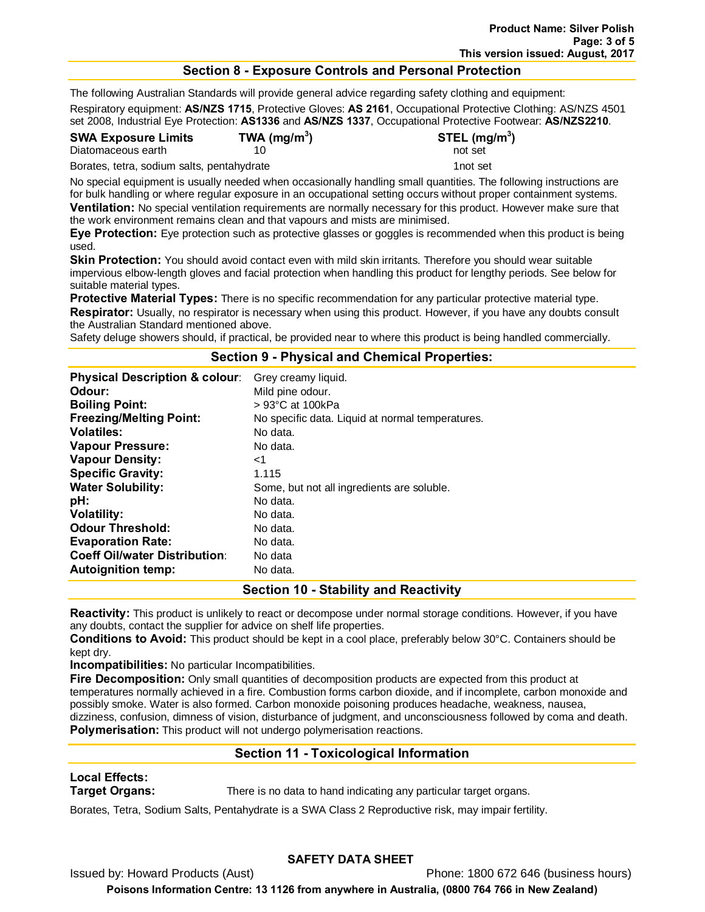# **Section 8 - Exposure Controls and Personal Protection**

The following Australian Standards will provide general advice regarding safety clothing and equipment:

Respiratory equipment: **AS/NZS 1715**, Protective Gloves: **AS 2161**, Occupational Protective Clothing: AS/NZS 4501 set 2008, Industrial Eye Protection: **AS1336** and **AS/NZS 1337**, Occupational Protective Footwear: **AS/NZS2210**.

**SWA Exposure Limits TWA (mg/m3**

**) STEL (mg/m3 )**

Diatomaceous earth 10 and 50 not set

Borates, tetra, sodium salts, pentahydrate 1not set

No special equipment is usually needed when occasionally handling small quantities. The following instructions are for bulk handling or where regular exposure in an occupational setting occurs without proper containment systems. **Ventilation:** No special ventilation requirements are normally necessary for this product. However make sure that the work environment remains clean and that vapours and mists are minimised.

**Eye Protection:** Eye protection such as protective glasses or goggles is recommended when this product is being used.

**Skin Protection:** You should avoid contact even with mild skin irritants. Therefore you should wear suitable impervious elbow-length gloves and facial protection when handling this product for lengthy periods. See below for suitable material types.

**Protective Material Types:** There is no specific recommendation for any particular protective material type. **Respirator:** Usually, no respirator is necessary when using this product. However, if you have any doubts consult the Australian Standard mentioned above.

Safety deluge showers should, if practical, be provided near to where this product is being handled commercially.

#### **Section 9 - Physical and Chemical Properties:**

| <b>Physical Description &amp; colour:</b> | Grey creamy liquid.                              |
|-------------------------------------------|--------------------------------------------------|
| Odour:                                    | Mild pine odour.                                 |
| <b>Boiling Point:</b>                     | $> 93^{\circ}$ C at 100kPa                       |
| <b>Freezing/Melting Point:</b>            | No specific data. Liquid at normal temperatures. |
| <b>Volatiles:</b>                         | No data.                                         |
| <b>Vapour Pressure:</b>                   | No data.                                         |
| <b>Vapour Density:</b>                    | ا>                                               |
| <b>Specific Gravity:</b>                  | 1.115                                            |
| <b>Water Solubility:</b>                  | Some, but not all ingredients are soluble.       |
| pH:                                       | No data.                                         |
| <b>Volatility:</b>                        | No data.                                         |
| <b>Odour Threshold:</b>                   | No data.                                         |
| <b>Evaporation Rate:</b>                  | No data.                                         |
| <b>Coeff Oil/water Distribution:</b>      | No data                                          |
| <b>Autoignition temp:</b>                 | No data.                                         |

# **Section 10 - Stability and Reactivity**

**Reactivity:** This product is unlikely to react or decompose under normal storage conditions. However, if you have any doubts, contact the supplier for advice on shelf life properties.

**Conditions to Avoid:** This product should be kept in a cool place, preferably below 30°C. Containers should be kept dry.

**Incompatibilities:** No particular Incompatibilities.

**Fire Decomposition:** Only small quantities of decomposition products are expected from this product at temperatures normally achieved in a fire. Combustion forms carbon dioxide, and if incomplete, carbon monoxide and possibly smoke. Water is also formed. Carbon monoxide poisoning produces headache, weakness, nausea, dizziness, confusion, dimness of vision, disturbance of judgment, and unconsciousness followed by coma and death. **Polymerisation:** This product will not undergo polymerisation reactions.

# **Section 11 - Toxicological Information**

# **Local Effects:**

**Target Organs:** There is no data to hand indicating any particular target organs.

Borates, Tetra, Sodium Salts, Pentahydrate is a SWA Class 2 Reproductive risk, may impair fertility.

# **SAFETY DATA SHEET**

Issued by: Howard Products (Aust) Phone: 1800 672 646 (business hours)

**Poisons Information Centre: 13 1126 from anywhere in Australia, (0800 764 766 in New Zealand)**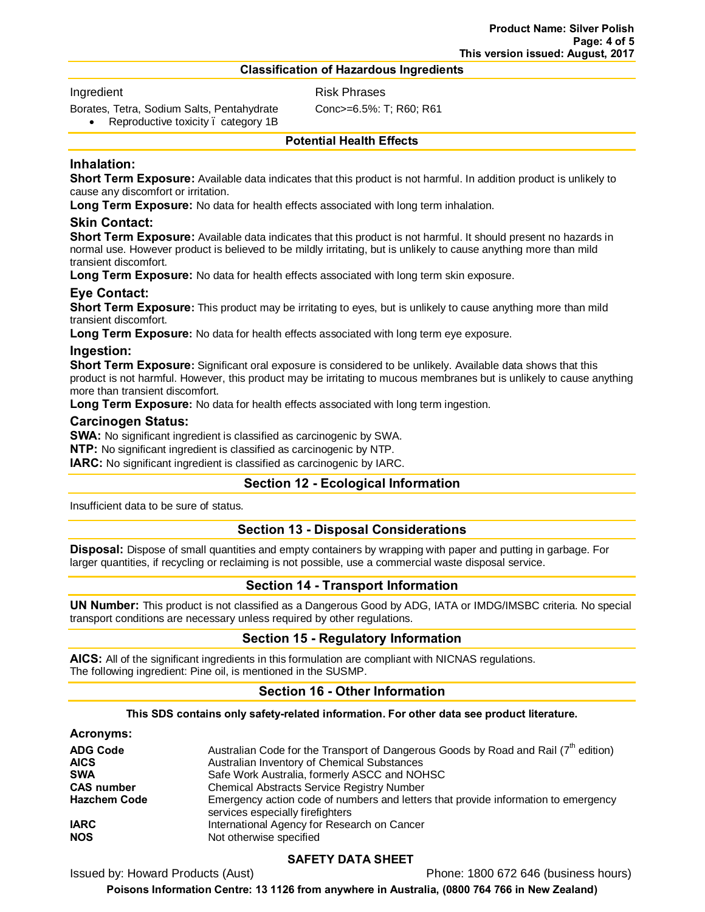#### **Classification of Hazardous Ingredients**

#### Ingredient **Risk Phrases**

Borates, Tetra, Sodium Salts, Pentahydrate Conc>=6.5%: T; R60; R61

Reproductive toxicity . category 1B

#### **Potential Health Effects**

# **Inhalation:**

**Short Term Exposure:** Available data indicates that this product is not harmful. In addition product is unlikely to cause any discomfort or irritation.

**Long Term Exposure:** No data for health effects associated with long term inhalation.

### **Skin Contact:**

**Short Term Exposure:** Available data indicates that this product is not harmful. It should present no hazards in normal use. However product is believed to be mildly irritating, but is unlikely to cause anything more than mild transient discomfort.

**Long Term Exposure:** No data for health effects associated with long term skin exposure.

# **Eye Contact:**

**Short Term Exposure:** This product may be irritating to eyes, but is unlikely to cause anything more than mild transient discomfort.

**Long Term Exposure:** No data for health effects associated with long term eye exposure.

#### **Ingestion:**

**Short Term Exposure:** Significant oral exposure is considered to be unlikely. Available data shows that this product is not harmful. However, this product may be irritating to mucous membranes but is unlikely to cause anything more than transient discomfort.

**Long Term Exposure:** No data for health effects associated with long term ingestion.

#### **Carcinogen Status:**

**SWA:** No significant ingredient is classified as carcinogenic by SWA.

**NTP:** No significant ingredient is classified as carcinogenic by NTP.

**IARC:** No significant ingredient is classified as carcinogenic by IARC.

# **Section 12 - Ecological Information**

Insufficient data to be sure of status.

# **Section 13 - Disposal Considerations**

**Disposal:** Dispose of small quantities and empty containers by wrapping with paper and putting in garbage. For larger quantities, if recycling or reclaiming is not possible, use a commercial waste disposal service.

# **Section 14 - Transport Information**

**UN Number:** This product is not classified as a Dangerous Good by ADG, IATA or IMDG/IMSBC criteria. No special transport conditions are necessary unless required by other regulations.

# **Section 15 - Regulatory Information**

**AICS:** All of the significant ingredients in this formulation are compliant with NICNAS regulations. The following ingredient: Pine oil, is mentioned in the SUSMP.

# **Section 16 - Other Information**

**This SDS contains only safety-related information. For other data see product literature.**

#### **Acronyms:**

| <b>ADG Code</b>     | Australian Code for the Transport of Dangerous Goods by Road and Rail $(7^{th}$ edition)                               |
|---------------------|------------------------------------------------------------------------------------------------------------------------|
| <b>AICS</b>         | Australian Inventory of Chemical Substances                                                                            |
| <b>SWA</b>          | Safe Work Australia, formerly ASCC and NOHSC                                                                           |
| <b>CAS number</b>   | <b>Chemical Abstracts Service Registry Number</b>                                                                      |
| <b>Hazchem Code</b> | Emergency action code of numbers and letters that provide information to emergency<br>services especially firefighters |
| <b>IARC</b>         | International Agency for Research on Cancer                                                                            |
| <b>NOS</b>          | Not otherwise specified                                                                                                |

# **SAFETY DATA SHEET**

Issued by: Howard Products (Aust) Phone: 1800 672 646 (business hours)

**Poisons Information Centre: 13 1126 from anywhere in Australia, (0800 764 766 in New Zealand)**